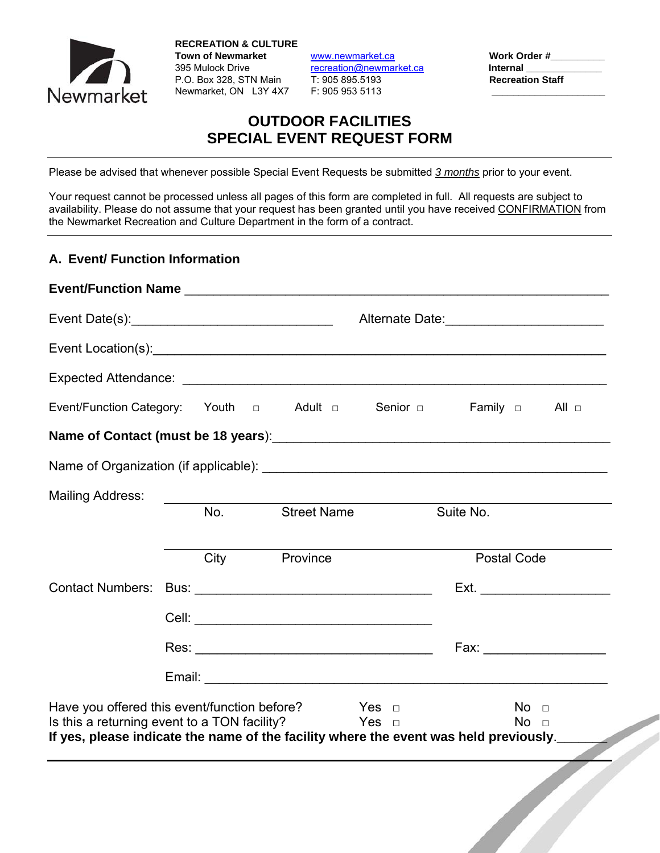

**RECREATION & CULTURE Town of Newmarket** www.newmarket.ca **Work Order #\_\_\_\_\_\_\_\_\_\_**  395 Mulock Drive **recreation@newmarket.ca Internal** P.O. Box 328, STN Main T: 905 895.5193 **Recreation Staff**  Newmarket, ON L3Y 4X7 F: 905 953 5113 **\_\_\_\_\_\_\_\_\_\_\_\_\_\_\_\_\_\_\_\_\_**

# **OUTDOOR FACILITIES SPECIAL EVENT REQUEST FORM**

Please be advised that whenever possible Special Event Requests be submitted *3 months* prior to your event.

Your request cannot be processed unless all pages of this form are completed in full. All requests are subject to availability. Please do not assume that your request has been granted until you have received CONFIRMATION from the Newmarket Recreation and Culture Department in the form of a contract.

#### **A. Event/ Function Information**

|                                                                                                                                                         |     |                    |           | Alternate Date:<br><u> </u>                                                                                     |
|---------------------------------------------------------------------------------------------------------------------------------------------------------|-----|--------------------|-----------|-----------------------------------------------------------------------------------------------------------------|
|                                                                                                                                                         |     |                    |           |                                                                                                                 |
|                                                                                                                                                         |     |                    |           |                                                                                                                 |
| Event/Function Category: Youth a Adult a Senior a Family a All a                                                                                        |     |                    |           |                                                                                                                 |
| Name of Contact (must be 18 years): Name of Contact (must be 18 years):                                                                                 |     |                    |           |                                                                                                                 |
|                                                                                                                                                         |     |                    |           |                                                                                                                 |
| Mailing Address:                                                                                                                                        |     |                    |           |                                                                                                                 |
|                                                                                                                                                         | No. | <b>Street Name</b> | Suite No. |                                                                                                                 |
|                                                                                                                                                         |     | City Province      |           | <b>Postal Code</b>                                                                                              |
|                                                                                                                                                         |     |                    |           |                                                                                                                 |
|                                                                                                                                                         |     |                    |           |                                                                                                                 |
|                                                                                                                                                         |     |                    |           | Fax: Exercise of the state of the state of the state of the state of the state of the state of the state of the |
|                                                                                                                                                         |     |                    |           |                                                                                                                 |
| Have you offered this event/function before? $\Box$ Yes $\Box$                                                                                          |     |                    |           | No <sub>1</sub>                                                                                                 |
| Is this a returning event to a TON facility? $\Box$ Yes $\Box$<br>If yes, please indicate the name of the facility where the event was held previously. |     |                    |           | No <sub>1</sub>                                                                                                 |
|                                                                                                                                                         |     |                    |           |                                                                                                                 |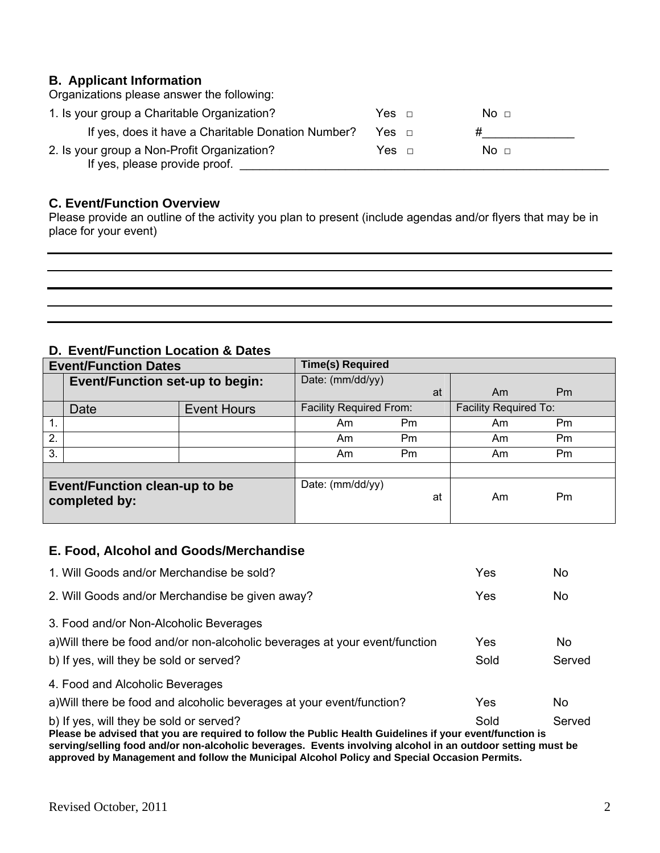#### **B. Applicant Information** Organizations please answer the following:

| Organizations piease answer the following.                                   |                 |  |
|------------------------------------------------------------------------------|-----------------|--|
| 1. Is your group a Charitable Organization?                                  | No ⊓            |  |
| If yes, does it have a Charitable Donation Number?                           |                 |  |
| 2. Is your group a Non-Profit Organization?<br>If yes, please provide proof. | No <sub>1</sub> |  |

### **C. Event/Function Overview**

Please provide an outline of the activity you plan to present (include agendas and/or flyers that may be in place for your event)

## **D. Event/Function Location & Dates**

| <b>Event/Function Dates</b> |                                                       | <b>Time(s) Required</b> |                                |    |                              |                |  |
|-----------------------------|-------------------------------------------------------|-------------------------|--------------------------------|----|------------------------------|----------------|--|
|                             | <b>Event/Function set-up to begin:</b>                |                         | Date: (mm/dd/yy)               |    |                              |                |  |
|                             |                                                       |                         |                                | at | Am                           | P <sub>m</sub> |  |
|                             | Date                                                  | <b>Event Hours</b>      | <b>Facility Required From:</b> |    | <b>Facility Required To:</b> |                |  |
| $\mathbf{1}$ .              |                                                       |                         | Am                             | Pm | Am                           | Pm             |  |
| 2.                          |                                                       |                         | Am                             | Pm | Am                           | Pm             |  |
| 3.                          |                                                       |                         | Am                             | Pm | Am                           | P <sub>m</sub> |  |
|                             |                                                       |                         |                                |    |                              |                |  |
|                             | <b>Event/Function clean-up to be</b><br>completed by: |                         | Date: (mm/dd/yy)               | at | Am                           | Pm             |  |

#### **E. Food, Alcohol and Goods/Merchandise**

| 1. Will Goods and/or Merchandise be sold?                                                                                                           | Yes  | No     |
|-----------------------------------------------------------------------------------------------------------------------------------------------------|------|--------|
| 2. Will Goods and/or Merchandise be given away?                                                                                                     | Yes  | No.    |
| 3. Food and/or Non-Alcoholic Beverages                                                                                                              |      |        |
| a) Will there be food and/or non-alcoholic beverages at your event/function                                                                         | Yes  | No.    |
| b) If yes, will they be sold or served?                                                                                                             | Sold | Served |
| 4. Food and Alcoholic Beverages                                                                                                                     |      |        |
| a) Will there be food and alcoholic beverages at your event/function?                                                                               | Yes  | No     |
| b) If yes, will they be sold or served?<br>Please be advised that you are required to follow the Public Health Guidelines if your event/function is | Sold | Served |

**serving/selling food and/or non-alcoholic beverages. Events involving alcohol in an outdoor setting must be approved by Management and follow the Municipal Alcohol Policy and Special Occasion Permits.**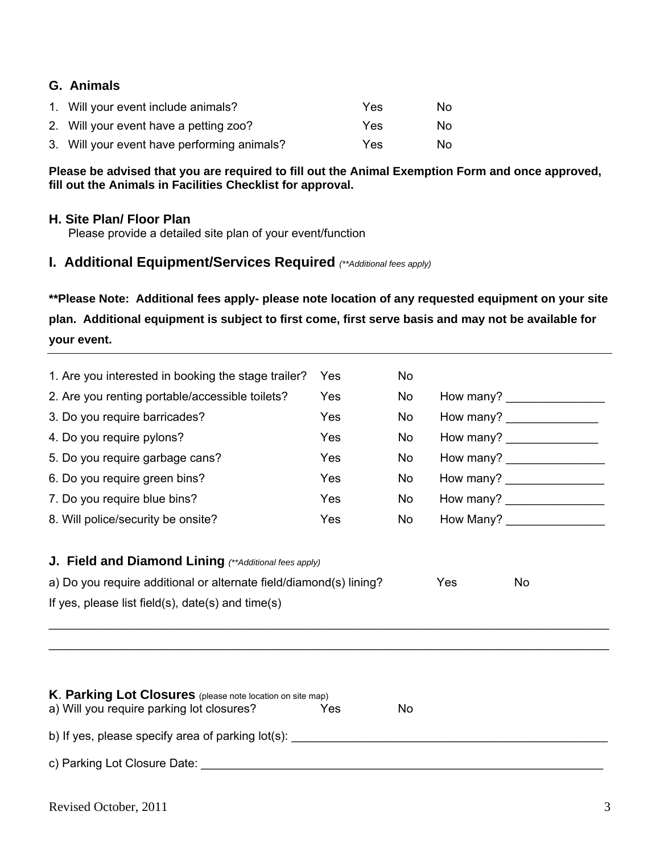### **G. Animals**

| 1. Will your event include animals?         | Yes | No. |
|---------------------------------------------|-----|-----|
| 2. Will your event have a petting zoo?      | Yes | No. |
| 3. Will your event have performing animals? | Yes | No. |

#### **Please be advised that you are required to fill out the Animal Exemption Form and once approved, fill out the Animals in Facilities Checklist for approval.**

#### **H. Site Plan/ Floor Plan**

Please provide a detailed site plan of your event/function

# **I. Additional Equipment/Services Required** *(\*\*Additional fees apply)*

**\*\*Please Note: Additional fees apply- please note location of any requested equipment on your site plan. Additional equipment is subject to first come, first serve basis and may not be available for your event.** 

| 1. Are you interested in booking the stage trailer?                                                                                                                                                                            | Yes        | <b>No</b> |     |                               |
|--------------------------------------------------------------------------------------------------------------------------------------------------------------------------------------------------------------------------------|------------|-----------|-----|-------------------------------|
| 2. Are you renting portable/accessible toilets?                                                                                                                                                                                | Yes        | No.       |     | How many? __________________  |
| 3. Do you require barricades?                                                                                                                                                                                                  | <b>Yes</b> | No.       |     | How many? ________________    |
| 4. Do you require pylons?                                                                                                                                                                                                      | Yes        | No        |     | How many? ________________    |
| 5. Do you require garbage cans?                                                                                                                                                                                                | Yes        | No        |     | How many? __________________  |
| 6. Do you require green bins?                                                                                                                                                                                                  | Yes        | <b>No</b> |     | How many? ___________________ |
| 7. Do you require blue bins?                                                                                                                                                                                                   | <b>Yes</b> | <b>No</b> |     |                               |
| 8. Will police/security be onsite?                                                                                                                                                                                             | Yes        | No        |     | How Many? _________________   |
| a) Do you require additional or alternate field/diamond(s) lining?<br>If yes, please list field(s), date(s) and time(s)                                                                                                        |            |           | Yes | No                            |
|                                                                                                                                                                                                                                |            |           |     |                               |
| K. Parking Lot Closures (please note location on site map)<br>a) Will you require parking lot closures?                                                                                                                        | Yes        | No        |     |                               |
|                                                                                                                                                                                                                                |            |           |     |                               |
| c) Parking Lot Closure Date: Note and the contract of the contract of the contract of the contract of the contract of the contract of the contract of the contract of the contract of the contract of the contract of the cont |            |           |     |                               |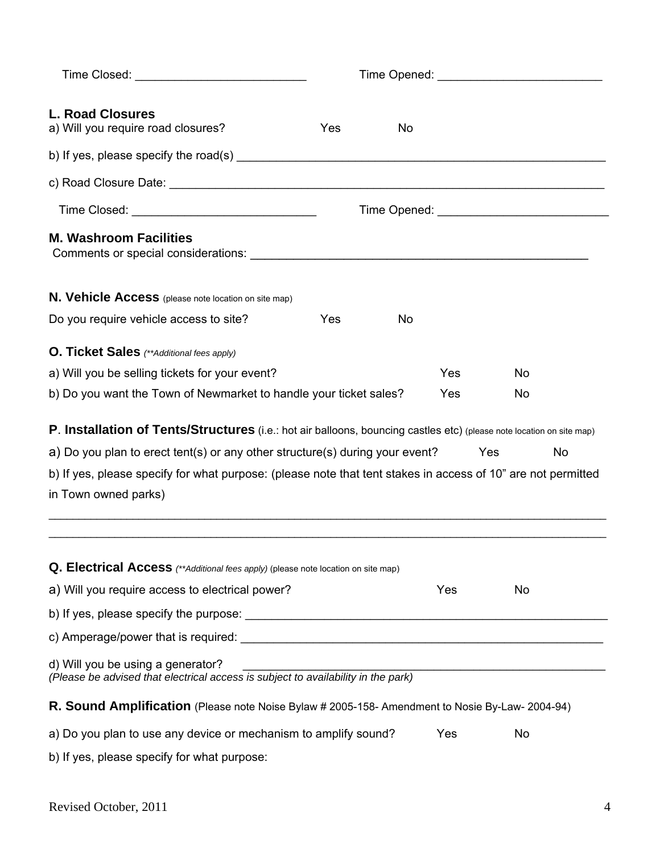| <b>L. Road Closures</b><br>a) Will you require road closures?                                                                | Yes | No |     |                                                        |    |
|------------------------------------------------------------------------------------------------------------------------------|-----|----|-----|--------------------------------------------------------|----|
|                                                                                                                              |     |    |     |                                                        |    |
|                                                                                                                              |     |    |     |                                                        |    |
|                                                                                                                              |     |    |     |                                                        |    |
| <b>M. Washroom Facilities</b><br>Comments or special considerations: University of the Comments of Special Considerations:   |     |    |     |                                                        |    |
| N. Vehicle Access (please note location on site map)                                                                         |     |    |     |                                                        |    |
| Do you require vehicle access to site?                                                                                       | Yes | No |     |                                                        |    |
| <b>O. Ticket Sales</b> (**Additional fees apply)                                                                             |     |    |     |                                                        |    |
| a) Will you be selling tickets for your event?                                                                               |     |    | Yes | No                                                     |    |
| b) Do you want the Town of Newmarket to handle your ticket sales?                                                            |     |    | Yes | No                                                     |    |
|                                                                                                                              |     |    |     |                                                        |    |
| <b>P. Installation of Tents/Structures</b> (i.e.: hot air balloons, bouncing castles etc) (please note location on site map) |     |    |     |                                                        |    |
| a) Do you plan to erect tent(s) or any other structure(s) during your event?                                                 |     |    |     | <b>Yes</b>                                             | No |
| b) If yes, please specify for what purpose: (please note that tent stakes in access of 10" are not permitted                 |     |    |     |                                                        |    |
| in Town owned parks)                                                                                                         |     |    |     |                                                        |    |
| Q. Electrical Access (**Additional fees apply) (please note location on site map)                                            |     |    |     |                                                        |    |
| a) Will you require access to electrical power?                                                                              |     |    | Yes | No                                                     |    |
|                                                                                                                              |     |    |     |                                                        |    |
|                                                                                                                              |     |    |     |                                                        |    |
| d) Will you be using a generator?<br>(Please be advised that electrical access is subject to availability in the park)       |     |    |     | <u> 1989 - Jan Barnett, fransk politiker (d. 1989)</u> |    |
| R. Sound Amplification (Please note Noise Bylaw # 2005-158- Amendment to Nosie By-Law- 2004-94)                              |     |    |     |                                                        |    |
| a) Do you plan to use any device or mechanism to amplify sound?                                                              |     |    | Yes | No                                                     |    |